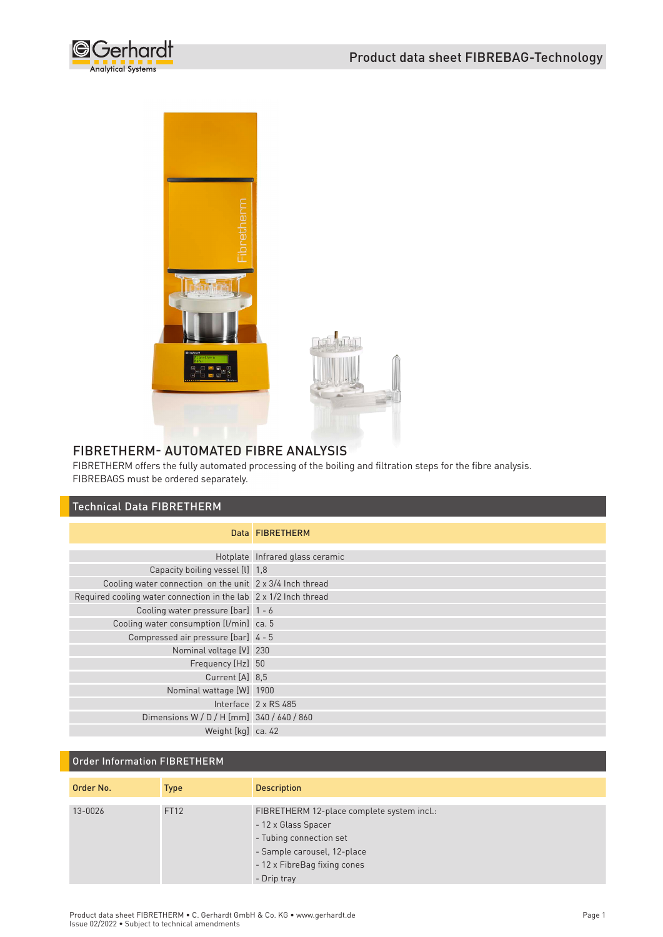



### FIBRETHERM- AUTOMATED FIBRE ANALYSIS

FIBRETHERM offers the fully automated processing of the boiling and filtration steps for the fibre analysis. FIBREBAGS must be ordered separately.

## Technical Data FIBRETHERM

|                                                                  | Data FIBRETHERM                 |
|------------------------------------------------------------------|---------------------------------|
|                                                                  | Hotplate Infrared glass ceramic |
| Capacity boiling vessel [l] 1,8                                  |                                 |
| Cooling water connection on the unit 2 x 3/4 Inch thread         |                                 |
| Required cooling water connection in the lab 2 x 1/2 Inch thread |                                 |
| Cooling water pressure [bar] 1 - 6                               |                                 |
| Cooling water consumption [l/min] ca. 5                          |                                 |
| Compressed air pressure [bar] 4 - 5                              |                                 |
| Nominal voltage [V] 230                                          |                                 |
| Frequency [Hz] 50                                                |                                 |
| Current [A] 8,5                                                  |                                 |
| Nominal wattage [W] 1900                                         |                                 |
|                                                                  | Interface 2 x RS 485            |
| Dimensions W / D / H [mm] 340 / 640 / 860                        |                                 |
| Weight [kg] ca. 42                                               |                                 |

# Order Information FIBRETHERM

| Order No. | <b>Type</b> | <b>Description</b>                                                                                                                                                         |
|-----------|-------------|----------------------------------------------------------------------------------------------------------------------------------------------------------------------------|
| 13-0026   | FT12        | FIBRETHERM 12-place complete system incl.:<br>- 12 x Glass Spacer<br>- Tubing connection set<br>- Sample carousel, 12-place<br>- 12 x FibreBag fixing cones<br>- Drip tray |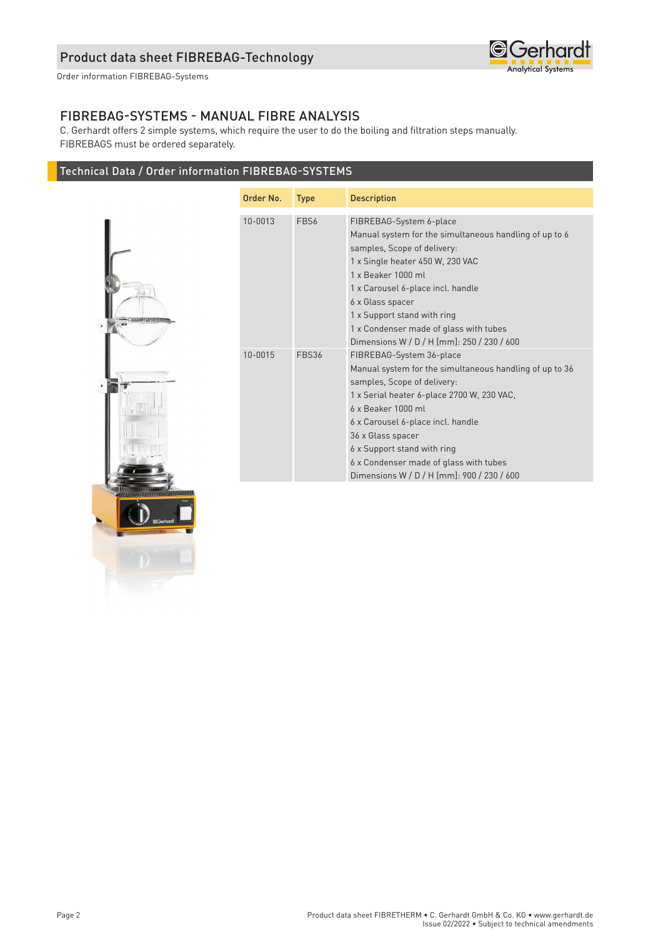

Order information FIBREBAG-Systems

### FIBREBAG-SYSTEMS - MANUAL FIBRE ANALYSIS

C. Gerhardt offers 2 simple systems, which require the user to do the boiling and filtration steps manually. FIBREBAGS must be ordered separately.

## Technical Data / Order information FIBREBAG-SYSTEMS



| Order No. | <b>Type</b>  | <b>Description</b>                                                                                                                                                                                                                                                                                                                                                      |
|-----------|--------------|-------------------------------------------------------------------------------------------------------------------------------------------------------------------------------------------------------------------------------------------------------------------------------------------------------------------------------------------------------------------------|
| 10-0013   | FBS6         | FIBREBAG-System 6-place<br>Manual system for the simultaneous handling of up to 6<br>samples, Scope of delivery:<br>1 x Single heater 450 W, 230 VAC<br>1 x Beaker 1000 ml<br>1 x Carousel 6-place incl. handle<br>6 x Glass spacer<br>1 x Support stand with ring<br>1 x Condenser made of glass with tubes<br>Dimensions W / D / H [mm]: 250 / 230 / 600              |
| 10-0015   | <b>FBS36</b> | FIBREBAG-System 36-place<br>Manual system for the simultaneous handling of up to 36<br>samples, Scope of delivery:<br>1 x Serial heater 6-place 2700 W, 230 VAC,<br>6 x Beaker 1000 ml<br>6 x Carousel 6-place incl. handle<br>36 x Glass spacer<br>6 x Support stand with ring<br>6 x Condenser made of glass with tubes<br>Dimensions W / D / H [mm]: 900 / 230 / 600 |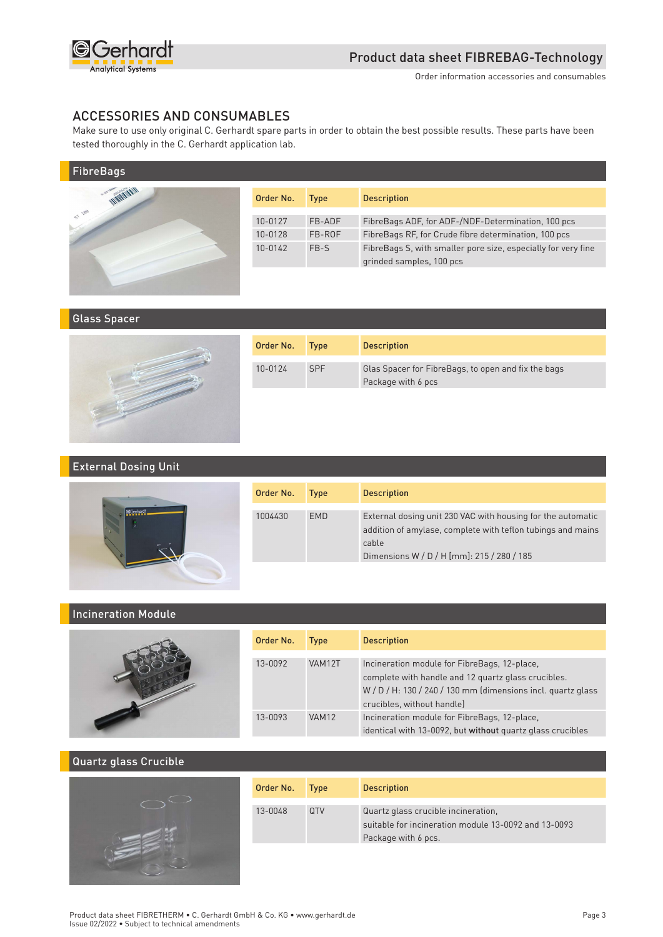

#### ACCESSORIES AND CONSUMABLES

Make sure to use only original C. Gerhardt spare parts in order to obtain the best possible results. These parts have been tested thoroughly in the C. Gerhardt application lab.

| <b>FibreBags</b>   |           |             |                                                               |
|--------------------|-----------|-------------|---------------------------------------------------------------|
| <b>WARRENT AVE</b> | Order No. | <b>Type</b> | <b>Description</b>                                            |
| ST 188             | 10-0127   | FB-ADF      | FibreBags ADF, for ADF-/NDF-Determination, 100 pcs            |
|                    | 10-0128   | FB-ROF      | FibreBags RF, for Crude fibre determination, 100 pcs          |
|                    | 10-0142   | FB-S        | FibreBags S, with smaller pore size, especially for very fine |
|                    |           |             | grinded samples, 100 pcs                                      |
|                    |           |             |                                                               |

#### Glass Spacer



| Order No. | <b>Type</b> | <b>Description</b>                                                        |
|-----------|-------------|---------------------------------------------------------------------------|
| 10-0124   | <b>SPF</b>  | Glas Spacer for FibreBags, to open and fix the bags<br>Package with 6 pcs |

#### External Dosing Unit



| Order No. | <b>Type</b> | <b>Description</b>                                                                                                                                                                |
|-----------|-------------|-----------------------------------------------------------------------------------------------------------------------------------------------------------------------------------|
| 1004430   | <b>FMD</b>  | External dosing unit 230 VAC with housing for the automatic<br>addition of amylase, complete with teflon tubings and mains<br>cable<br>Dimensions W / D / H [mm]: 215 / 280 / 185 |

#### Incineration Module



| Order No. | <b>Type</b>  | <b>Description</b>                                                                                                                                                                               |
|-----------|--------------|--------------------------------------------------------------------------------------------------------------------------------------------------------------------------------------------------|
| 13-0092   | VAM12T       | Incineration module for FibreBags, 12-place,<br>complete with handle and 12 quartz glass crucibles.<br>$W/D/H$ : 130 / 240 / 130 mm (dimensions incl. quartz glass<br>crucibles, without handle) |
| 13-0093   | <b>VAM12</b> | Incineration module for FibreBags, 12-place,<br>identical with 13-0092, but without quartz glass crucibles                                                                                       |

#### Quartz glass Crucible



| Order No. | <b>Type</b> | <b>Description</b>                                                                                                 |
|-----------|-------------|--------------------------------------------------------------------------------------------------------------------|
| 13-0048   | <b>OTV</b>  | Quartz glass crucible incineration,<br>suitable for incineration module 13-0092 and 13-0093<br>Package with 6 pcs. |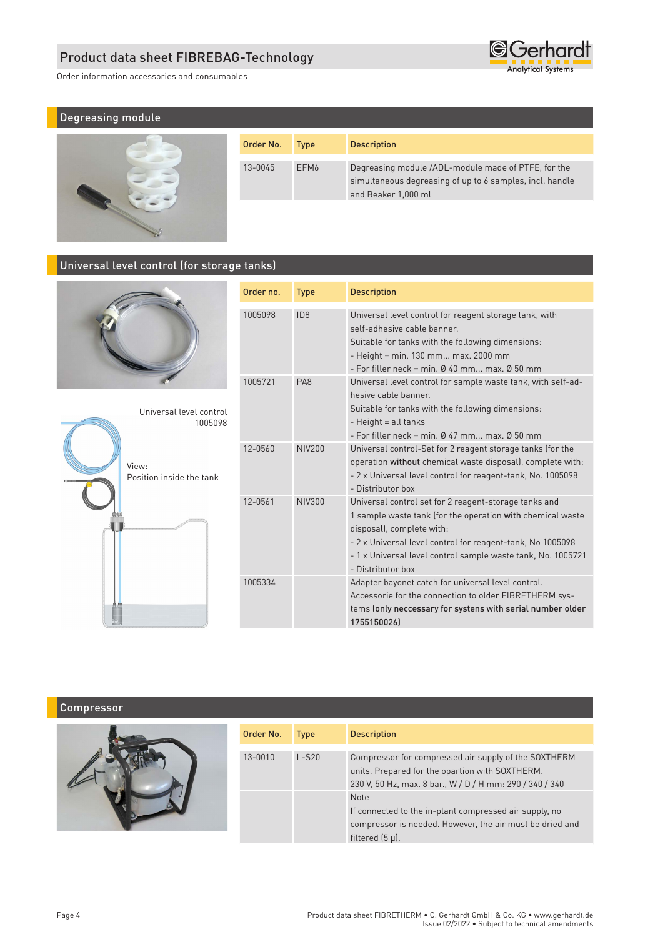Order information accessories and consumables



# Degreasing module



| Order No. | <b>Type</b>      | <b>Description</b>                                                                                                                     |
|-----------|------------------|----------------------------------------------------------------------------------------------------------------------------------------|
| 13-0045   | FFM <sub>6</sub> | Degreasing module /ADL-module made of PTFE, for the<br>simultaneous degreasing of up to 6 samples, incl. handle<br>and Beaker 1,000 ml |

## Universal level control (for storage tanks)





| Order no. | <b>Description</b><br><b>Type</b> |                                                                                                                                                                                                                                                                                                     |
|-----------|-----------------------------------|-----------------------------------------------------------------------------------------------------------------------------------------------------------------------------------------------------------------------------------------------------------------------------------------------------|
| 1005098   | ID <sub>8</sub>                   | Universal level control for reagent storage tank, with<br>self-adhesive cable banner<br>Suitable for tanks with the following dimensions:<br>- Height = min. 130 mm max. 2000 mm<br>- For filler neck = min. $\emptyset$ 40 mm max. $\emptyset$ 50 mm                                               |
| 1005721   | PA <sub>8</sub>                   | Universal level control for sample waste tank, with self-ad-<br>hesive cable banner<br>Suitable for tanks with the following dimensions:<br>- Height = all tanks<br>- For filler neck = min. $\emptyset$ 47 mm max. $\emptyset$ 50 mm                                                               |
| 12-0560   | <b>NIV200</b>                     | Universal control-Set for 2 reagent storage tanks (for the<br>operation without chemical waste disposal), complete with:<br>- 2 x Universal level control for reagent-tank, No. 1005098<br>- Distributor box                                                                                        |
| 12-0561   | <b>NIV300</b>                     | Universal control set for 2 reagent-storage tanks and<br>1 sample waste tank (for the operation with chemical waste<br>disposal), complete with:<br>- 2 x Universal level control for reagent-tank, No 1005098<br>- 1 x Universal level control sample waste tank, No. 1005721<br>- Distributor box |
| 1005334   |                                   | Adapter bayonet catch for universal level control.<br>Accessorie for the connection to older FIBRETHERM sys-<br>tems (only neccessary for systens with serial number older<br>17551500261                                                                                                           |

## Compressor

| Order No. | <b>Type</b> | <b>Description</b>                                                                                                                                                  |
|-----------|-------------|---------------------------------------------------------------------------------------------------------------------------------------------------------------------|
| 13-0010   | $L-S20$     | Compressor for compressed air supply of the SOXTHERM<br>units. Prepared for the opartion with SOXTHERM.<br>230 V, 50 Hz, max. 8 bar., W / D / H mm: 290 / 340 / 340 |
|           |             | <b>Note</b><br>If connected to the in-plant compressed air supply, no<br>compressor is needed. However, the air must be dried and<br>filtered $(5 \mu)$ .           |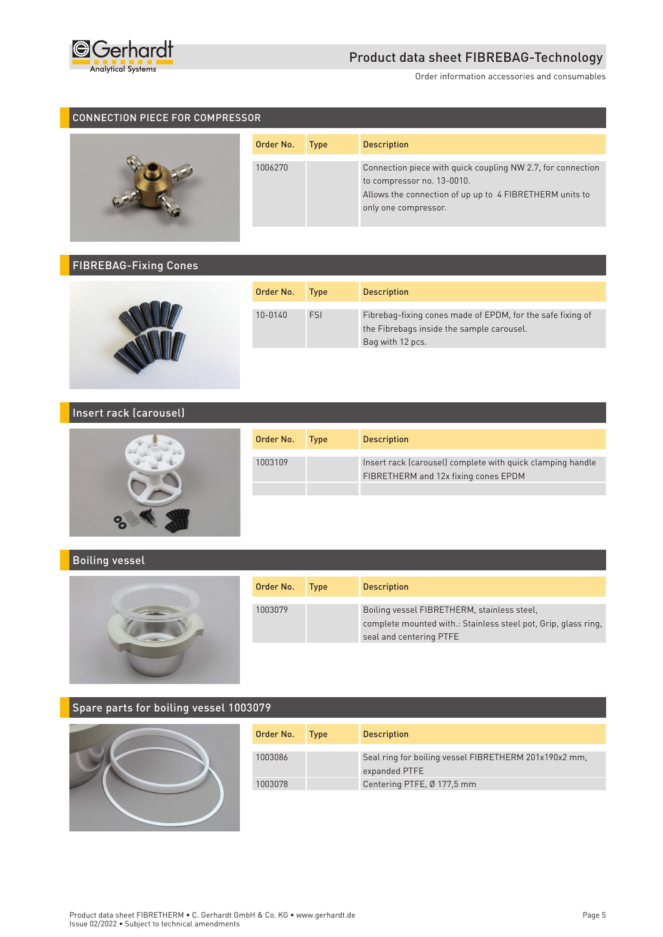

Order information accessories and consumables

#### CONNECTION PIECE FOR COMPRESSOR



| Order No. | <b>Type</b> | <b>Description</b>                                                                                                                                                           |
|-----------|-------------|------------------------------------------------------------------------------------------------------------------------------------------------------------------------------|
| 1006270   |             | Connection piece with quick coupling NW 2.7, for connection<br>to compressor no. 13-0010.<br>Allows the connection of up up to 4 FIBRETHERM units to<br>only one compressor. |

## FIBREBAG-Fixing Cones



| Order No. | <b>Type</b> | <b>Description</b>                                                                                                          |
|-----------|-------------|-----------------------------------------------------------------------------------------------------------------------------|
| 10-0140   | FSI         | Fibrebag-fixing cones made of EPDM, for the safe fixing of<br>the Fibrebags inside the sample carousel.<br>Bag with 12 pcs. |

# Insert rack (carousel)



| Order No. | Type | <b>Description</b>                                                                                 |
|-----------|------|----------------------------------------------------------------------------------------------------|
| 1003109   |      | Insert rack (carousel) complete with quick clamping handle<br>FIBRETHERM and 12x fixing cones EPDM |
|           |      |                                                                                                    |

#### Boiling vessel



| Order No. | <b>Type</b> | <b>Description</b>                                                                                                                       |
|-----------|-------------|------------------------------------------------------------------------------------------------------------------------------------------|
| 1003079   |             | Boiling vessel FIBRETHERM, stainless steel,<br>complete mounted with.: Stainless steel pot, Grip, glass ring,<br>seal and centering PTFE |

## Spare parts for boiling vessel 1003079



| Order No. | <b>Type</b> | <b>Description</b>                                                     |
|-----------|-------------|------------------------------------------------------------------------|
| 1003086   |             | Seal ring for boiling vessel FIBRETHERM 201x190x2 mm,<br>expanded PTFE |
| 1003078   |             | Centering PTFE, Ø 177,5 mm                                             |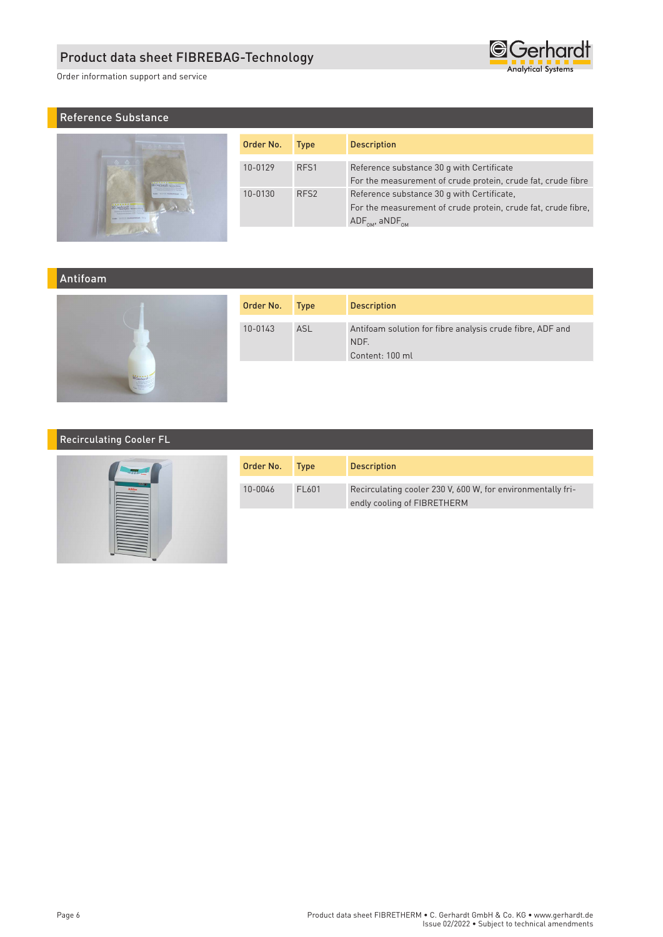Order information support and service

# Reference Substance



| Order No.                   | <b>Type</b>      | <b>Description</b>                                            |
|-----------------------------|------------------|---------------------------------------------------------------|
|                             |                  |                                                               |
| 10-0129                     | RFS <sub>1</sub> | Reference substance 30 q with Certificate                     |
|                             |                  | For the measurement of crude protein, crude fat, crude fibre  |
| RFS <sub>2</sub><br>10-0130 |                  | Reference substance 30 q with Certificate,                    |
|                             |                  | For the measurement of crude protein, crude fat, crude fibre, |
|                             |                  | $\mathsf{ADF}_\mathsf{OM}$ , aNDF <sub>0M</sub>               |

**G**Gerhardt **Analytical Systems** 

#### Antifoam



| Order No. | <b>Type</b> | <b>Description</b>                                                                   |
|-----------|-------------|--------------------------------------------------------------------------------------|
| 10-0143   | <b>ASL</b>  | Antifoam solution for fibre analysis crude fibre, ADF and<br>NDF.<br>Content: 100 ml |
|           |             |                                                                                      |

## Recirculating Cooler FL



| Order No. | <b>Type</b> | <b>Description</b>                                                                         |
|-----------|-------------|--------------------------------------------------------------------------------------------|
| 10-0046   | FI 601      | Recirculating cooler 230 V, 600 W, for environmentally fri-<br>endly cooling of FIBRETHERM |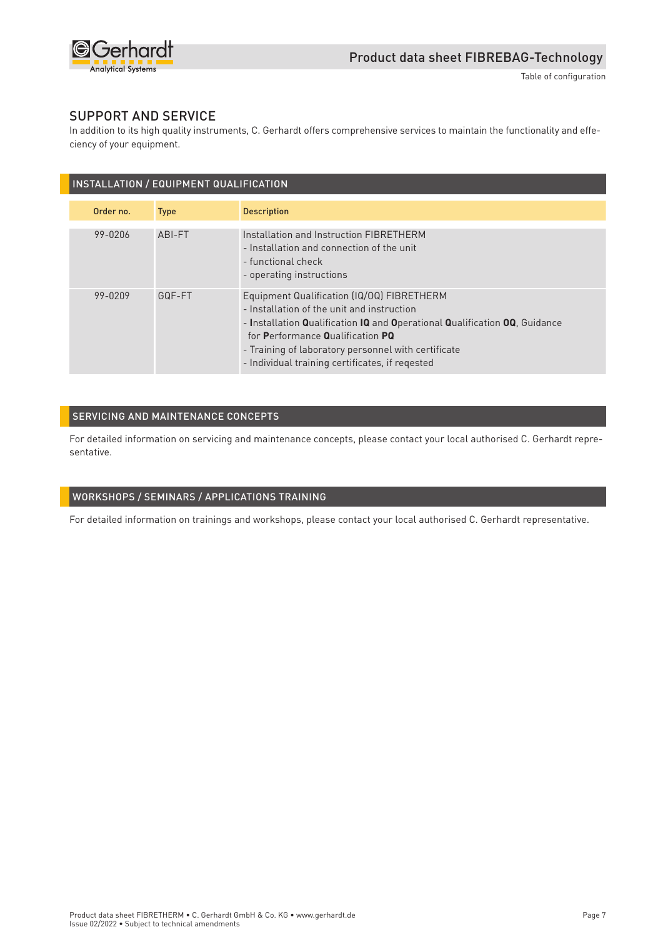

#### SUPPORT AND SERVICE

In addition to its high quality instruments, C. Gerhardt offers comprehensive services to maintain the functionality and effeciency of your equipment.

| INSTALLATION / EQUIPMENT QUALIFICATION |             |                                                                                                                                                                                                                                                                                                                      |  |
|----------------------------------------|-------------|----------------------------------------------------------------------------------------------------------------------------------------------------------------------------------------------------------------------------------------------------------------------------------------------------------------------|--|
| Order no.                              | <b>Type</b> | <b>Description</b>                                                                                                                                                                                                                                                                                                   |  |
| 99-0206                                | ABI-FT      | Installation and Instruction FIBRETHERM<br>- Installation and connection of the unit<br>- functional check<br>- operating instructions                                                                                                                                                                               |  |
| 99-0209                                | GQF-FT      | Equipment Qualification (IQ/OQ) FIBRETHERM<br>- Installation of the unit and instruction<br>- Installation Qualification IQ and Operational Qualification OQ, Guidance<br>for Performance Qualification PQ<br>- Training of laboratory personnel with certificate<br>- Individual training certificates, if regested |  |

#### SERVICING AND MAINTENANCE CONCEPTS

For detailed information on servicing and maintenance concepts, please contact your local authorised C. Gerhardt representative.

#### WORKSHOPS / SEMINARS / APPLICATIONS TRAINING

For detailed information on trainings and workshops, please contact your local authorised C. Gerhardt representative.